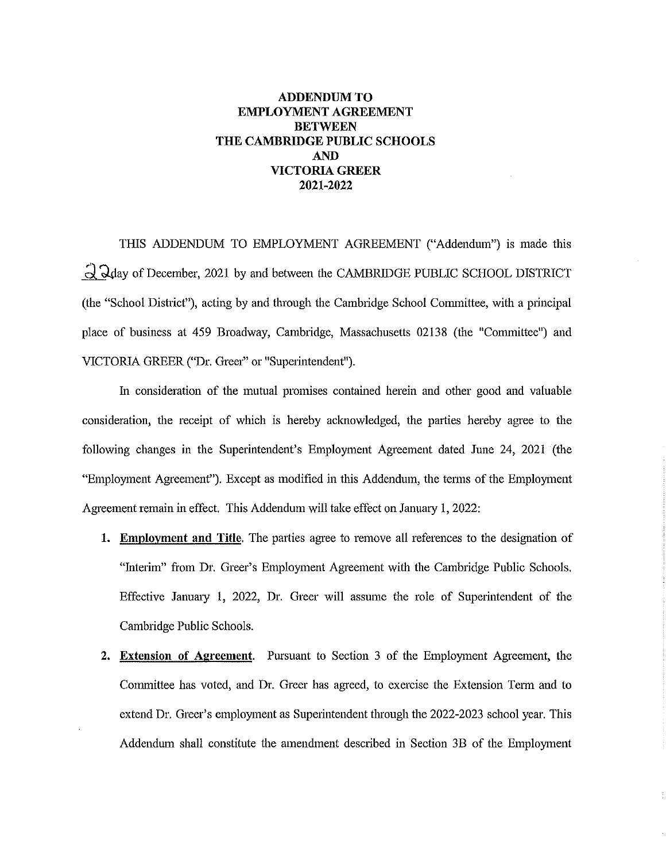## **ADDENDUM TO EMPLOYMENT AGREEMENT BETWEEN THE CAMBRIDGE PUBLIC SCHOOLS AND VICTORIA GREER 2021-2022**

THIS ADDENDUM TO EMPLOYMENT AGREEMENT ("Addendum") is made this d, ~ay of December, 2021 by and between the CAMBRIDGE PUBLIC SCHOOL DISTRICT (the "School District"), acting by and through the Cambridge School Committee, with a principal place of business at 459 Broadway, Cambridge, Massachusetts 02138 (the "Committee") and VICTORIA GREER ("Dr. Greer" or "Superintendent").

In consideration of the mutual promises contained herein and other good and valuable consideration, the receipt of which is hereby acknowledged, the parties hereby agree to the following changes in the Superintendent's Employment Agreement dated June 24, 2021 (the "Employment Agreement"). Except as modified in this Addendum, the terms of the Employment Agreement remain in effect. This Addendum will take effect on January 1, 2022:

- 1. Employment and Title. The parties agree to remove all references to the designation of "Interim" from Dr. Greer's Employment Agreement with the Cambridge Public Schools. Effective January 1, 2022, Dr. Greer will assume the role of Superintendent of the Cambridge Public Schools.
- **2. Extension of Agreement.** Pursuant to Section 3 of the Employment Agreement, the Committee has voted, and Dr. Greer has agreed, to exercise the Extension Tetm and to extend Dr. Greer's employment as Superintendent through the 2022-2023 school year. This Addendum shall constitute the amendment described in Section 3B of the Employment